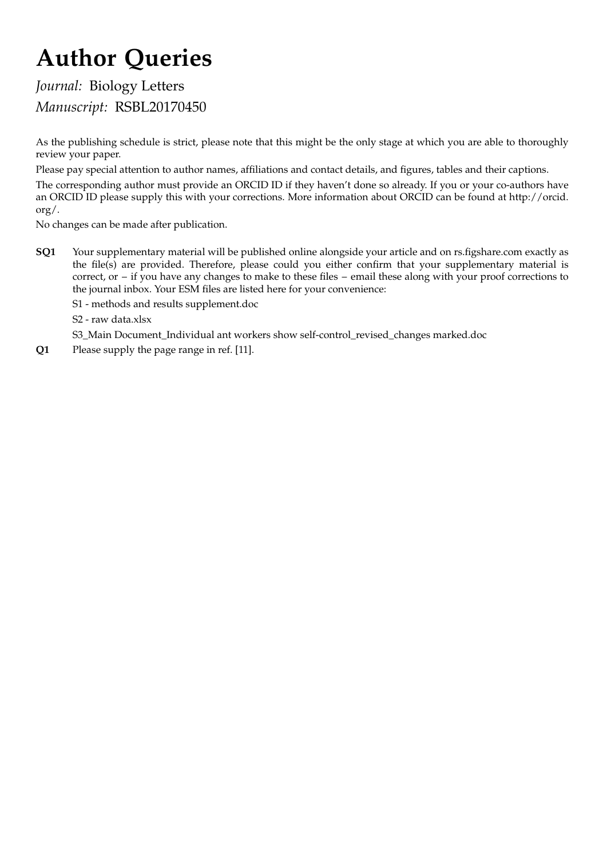# Author Queries

# Journal: Biology Letters Manuscript: RSBL20170450

As the publishing schedule is strict, please note that this might be the only stage at which you are able to thoroughly review your paper.

Please pay special attention to author names, affiliations and contact details, and figures, tables and their captions.

The corresponding author must provide an ORCID ID if they haven't done so already. If you or your co-authors have an ORCID ID please supply this with your corrections. More information about ORCID can be found at http://orcid. org/.

No changes can be made after publication.

SQ1 Your supplementary material will be published online alongside your article and on rs.figshare.com exactly as the file(s) are provided. Therefore, please could you either confirm that your supplementary material is correct, or – if you have any changes to make to these files – email these along with your proof corrections to the journal inbox. Your ESM files are listed here for your convenience:

S1 - methods and results supplement.doc

S2 - raw data.xlsx

S3\_Main Document\_Individual ant workers show self-control\_revised\_changes marked.doc

Q1 Please supply the page range in ref. [11].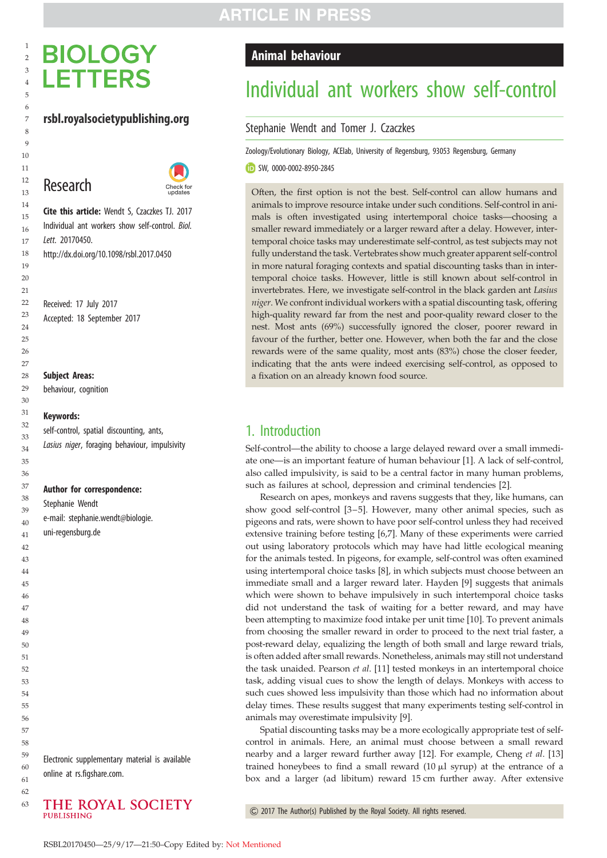# **BIOLOGY LETTERS**

### rsbl.royalsocietypublishing.org





Cite this article: Wendt S, Czaczkes TJ. 2017 Individual ant workers show self-control. Biol. Lett. 20170450. http://dx.doi.org/10.1098/rsbl.2017.0450

Received: 17 July 2017 Accepted: 18 September 2017

#### Subject Areas:

behaviour, cognition

#### Keywords:

self-control, spatial discounting, ants, Lasius niger, foraging behaviour, impulsivity

#### Author for correspondence:

Stephanie Wendt e-mail: [stephanie.wendt@biologie.](mailto:stephanie.wendt@biologie.uni-�regensburg.de) [uni-regensburg.de](mailto:stephanie.wendt@biologie.uni-�regensburg.de)

Electronic supplementary material is available online at rs.figshare.com.

## THE ROYAL SOCIETY PUBLISHING

## Animal behaviour

# Individual ant workers show self-control

#### Stephanie Wendt and Tomer J. Czaczkes

Zoology/Evolutionary Biology, ACElab, University of Regensburg, 93053 Regensburg, Germany

SW, [0000-0002-8950-2845](http://orcid.org/0000-0002-8950-2845)

Often, the first option is not the best. Self-control can allow humans and animals to improve resource intake under such conditions. Self-control in animals is often investigated using intertemporal choice tasks—choosing a smaller reward immediately or a larger reward after a delay. However, intertemporal choice tasks may underestimate self-control, as test subjects may not fully understand the task. Vertebrates show much greater apparent self-control in more natural foraging contexts and spatial discounting tasks than in intertemporal choice tasks. However, little is still known about self-control in invertebrates. Here, we investigate self-control in the black garden ant Lasius niger. We confront individual workers with a spatial discounting task, offering high-quality reward far from the nest and poor-quality reward closer to the nest. Most ants (69%) successfully ignored the closer, poorer reward in favour of the further, better one. However, when both the far and the close rewards were of the same quality, most ants (83%) chose the closer feeder, indicating that the ants were indeed exercising self-control, as opposed to a fixation on an already known food source.

# 1. Introduction

Self-control—the ability to choose a large delayed reward over a small immediate one—is an important feature of human behaviour [[1](#page-4-0)]. A lack of self-control, also called impulsivity, is said to be a central factor in many human problems, such as failures at school, depression and criminal tendencies [\[2\]](#page-4-0).

Research on apes, monkeys and ravens suggests that they, like humans, can show good self-control [[3](#page-4-0)–[5\]](#page-4-0). However, many other animal species, such as pigeons and rats, were shown to have poor self-control unless they had received extensive training before testing [\[6,7\]](#page-4-0). Many of these experiments were carried out using laboratory protocols which may have had little ecological meaning for the animals tested. In pigeons, for example, self-control was often examined using intertemporal choice tasks [[8](#page-4-0)], in which subjects must choose between an immediate small and a larger reward later. Hayden [[9](#page-4-0)] suggests that animals which were shown to behave impulsively in such intertemporal choice tasks did not understand the task of waiting for a better reward, and may have been attempting to maximize food intake per unit time [[10\]](#page-4-0). To prevent animals from choosing the smaller reward in order to proceed to the next trial faster, a post-reward delay, equalizing the length of both small and large reward trials, is often added after small rewards. Nonetheless, animals may still not understand the task unaided. Pearson et al. [\[11](#page-4-0)] tested monkeys in an intertemporal choice task, adding visual cues to show the length of delays. Monkeys with access to such cues showed less impulsivity than those which had no information about delay times. These results suggest that many experiments testing self-control in animals may overestimate impulsivity [\[9\]](#page-4-0).

Spatial discounting tasks may be a more ecologically appropriate test of selfcontrol in animals. Here, an animal must choose between a small reward nearby and a larger reward further away [[12\]](#page-4-0). For example, Cheng et al. [[13\]](#page-4-0) trained honeybees to find a small reward  $(10 \mu)$  syrup) at the entrance of a box and a larger (ad libitum) reward 15 cm further away. After extensive

& 2017 The Author(s) Published by the Royal Society. All rights reserved.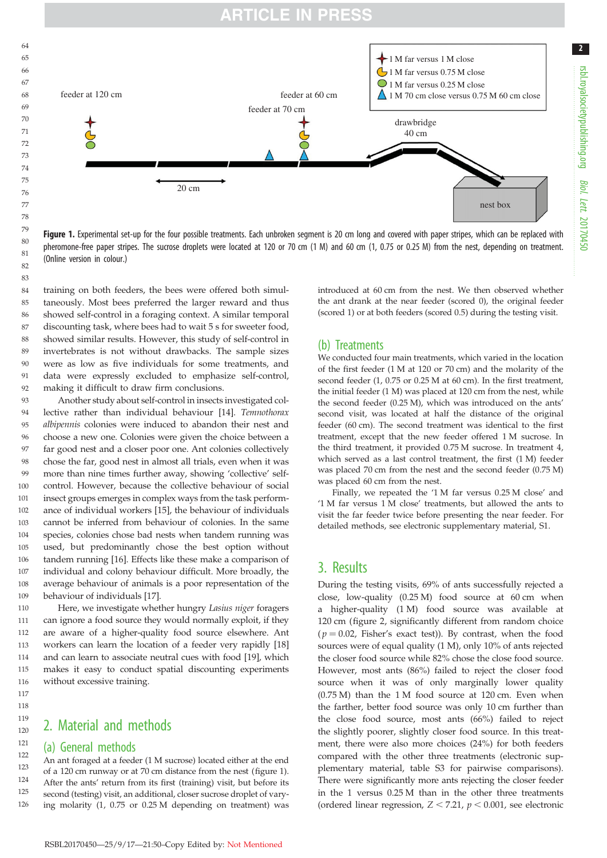

Figure 1. Experimental set-up for the four possible treatments. Each unbroken segment is 20 cm long and covered with paper stripes, which can be replaced with pheromone-free paper stripes. The sucrose droplets were located at 120 or 70 cm (1 M) and 60 cm (1, 0.75 or 0.25 M) from the nest, depending on treatment. (Online version in colour.)

training on both feeders, the bees were offered both simultaneously. Most bees preferred the larger reward and thus showed self-control in a foraging context. A similar temporal discounting task, where bees had to wait 5 s for sweeter food, showed similar results. However, this study of self-control in invertebrates is not without drawbacks. The sample sizes were as low as five individuals for some treatments, and data were expressly excluded to emphasize self-control, making it difficult to draw firm conclusions. 84 85 86 87 88 89 90 91  $92$ 

Another study about self-control in insects investigated collective rather than individual behaviour [\[14](#page-4-0)]. Temnothorax albipennis colonies were induced to abandon their nest and choose a new one. Colonies were given the choice between a far good nest and a closer poor one. Ant colonies collectively chose the far, good nest in almost all trials, even when it was more than nine times further away, showing 'collective' selfcontrol. However, because the collective behaviour of social insect groups emerges in complex ways from the task performance of individual workers [\[15](#page-4-0)], the behaviour of individuals cannot be inferred from behaviour of colonies. In the same species, colonies chose bad nests when tandem running was used, but predominantly chose the best option without tandem running [\[16](#page-4-0)]. Effects like these make a comparison of individual and colony behaviour difficult. More broadly, the average behaviour of animals is a poor representation of the behaviour of individuals [\[17](#page-4-0)]. 93  $Q_{\Delta}$  $95$ 96 97 98 99 100 101 102 103 104 105 106 107 108 109

Here, we investigate whether hungry Lasius niger foragers can ignore a food source they would normally exploit, if they are aware of a higher-quality food source elsewhere. Ant workers can learn the location of a feeder very rapidly [[18\]](#page-4-0) and can learn to associate neutral cues with food [\[19](#page-4-0)], which makes it easy to conduct spatial discounting experiments without excessive training. 110 111 112 113 114 115 116

# 2. Material and methods

#### (a) General methods

An ant foraged at a feeder (1 M sucrose) located either at the end of a 120 cm runway or at 70 cm distance from the nest (figure 1). After the ants' return from its first (training) visit, but before its second (testing) visit, an additional, closer sucrose droplet of varying molarity (1, 0.75 or 0.25 M depending on treatment) was introduced at 60 cm from the nest. We then observed whether the ant drank at the near feeder (scored 0), the original feeder (scored 1) or at both feeders (scored 0.5) during the testing visit.

### (b) Treatments

We conducted four main treatments, which varied in the location of the first feeder (1 M at 120 or 70 cm) and the molarity of the second feeder (1, 0.75 or 0.25 M at 60 cm). In the first treatment, the initial feeder (1 M) was placed at 120 cm from the nest, while the second feeder (0.25 M), which was introduced on the ants' second visit, was located at half the distance of the original feeder (60 cm). The second treatment was identical to the first treatment, except that the new feeder offered 1 M sucrose. In the third treatment, it provided 0.75 M sucrose. In treatment 4, which served as a last control treatment, the first (1 M) feeder was placed 70 cm from the nest and the second feeder (0.75 M) was placed 60 cm from the nest.

Finally, we repeated the '1 M far versus 0.25 M close' and '1 M far versus 1 M close' treatments, but allowed the ants to visit the far feeder twice before presenting the near feeder. For detailed methods, see electronic supplementary material, S1.

## 3. Results

During the testing visits, 69% of ants successfully rejected a close, low-quality (0.25 M) food source at 60 cm when a higher-quality (1 M) food source was available at 120 cm ([figure 2](#page-3-0), significantly different from random choice  $(p = 0.02,$  Fisher's exact test)). By contrast, when the food sources were of equal quality (1 M), only 10% of ants rejected the closer food source while 82% chose the close food source. However, most ants (86%) failed to reject the closer food source when it was of only marginally lower quality (0.75 M) than the 1 M food source at 120 cm. Even when the farther, better food source was only 10 cm further than the close food source, most ants (66%) failed to reject the slightly poorer, slightly closer food source. In this treatment, there were also more choices (24%) for both feeders compared with the other three treatments (electronic supplementary material, table S3 for pairwise comparisons). There were significantly more ants rejecting the closer feeder in the 1 versus 0.25 M than in the other three treatments (ordered linear regression,  $Z < 7.21$ ,  $p < 0.001$ , see electronic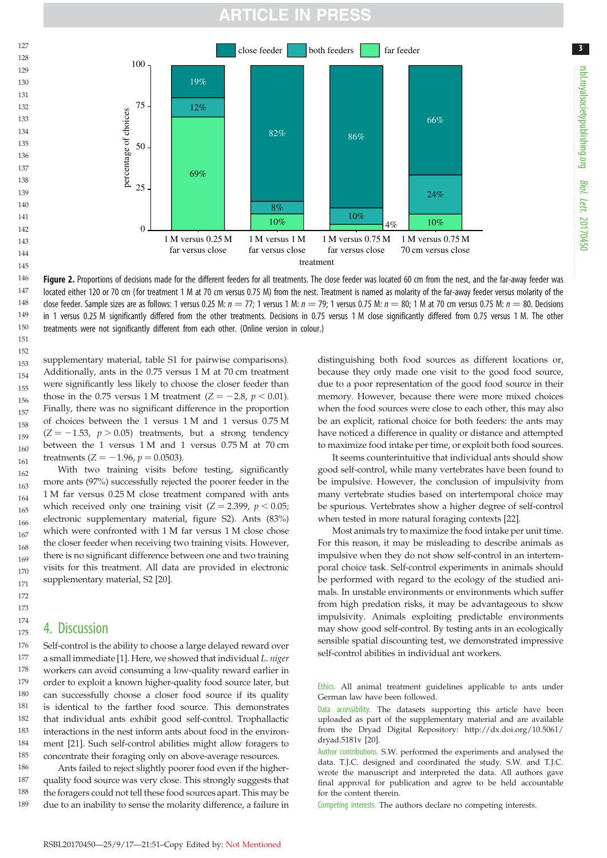# ARTICLE IN PRESS

<span id="page-3-0"></span>



supplementary material, table S1 for pairwise comparisons). Additionally, ants in the 0.75 versus 1 M at 70 cm treatment were significantly less likely to choose the closer feeder than those in the 0.75 versus 1 M treatment ( $Z = -2.8$ ,  $p < 0.01$ ). Finally, there was no significant difference in the proportion of choices between the 1 versus 1 M and 1 versus 0.75 M  $(Z = -1.53, p > 0.05)$  treatments, but a strong tendency between the 1 versus 1 M and 1 versus 0.75 M at 70 cm treatments ( $Z = -1.96$ ,  $p = 0.0503$ ). 152 153 154 155 156 157 158 159 160 161

With two training visits before testing, significantly more ants (97%) successfully rejected the poorer feeder in the 1 M far versus 0.25 M close treatment compared with ants which received only one training visit  $(Z = 2.399, p < 0.05;$ electronic supplementary material, figure S2). Ants (83%) which were confronted with 1 M far versus 1 M close chose the closer feeder when receiving two training visits. However, there is no significant difference between one and two training visits for this treatment. All data are provided in electronic supplementary material, S2 [\[20](#page-4-0)]. 162 163 164 165 166 167 168 169 170 171

## 4. Discussion

Self-control is the ability to choose a large delayed reward over a small immediate [\[1\]](#page-4-0). Here, we showed that individual L. niger workers can avoid consuming a low-quality reward earlier in order to exploit a known higher-quality food source later, but can successfully choose a closer food source if its quality is identical to the farther food source. This demonstrates that individual ants exhibit good self-control. Trophallactic interactions in the nest inform ants about food in the environment [\[21](#page-4-0)]. Such self-control abilities might allow foragers to concentrate their foraging only on above-average resources. 176 177 178 179 180 181 182 183 184 185

Ants failed to reject slightly poorer food even if the higherquality food source was very close. This strongly suggests that the foragers could not tell these food sources apart. This may be due to an inability to sense the molarity difference, a failure in 186 187 188 189

distinguishing both food sources as different locations or, because they only made one visit to the good food source, due to a poor representation of the good food source in their memory. However, because there were more mixed choices when the food sources were close to each other, this may also be an explicit, rational choice for both feeders: the ants may have noticed a difference in quality or distance and attempted to maximize food intake per time, or exploit both food sources.

It seems counterintuitive that individual ants should show good self-control, while many vertebrates have been found to be impulsive. However, the conclusion of impulsivity from many vertebrate studies based on intertemporal choice may be spurious. Vertebrates show a higher degree of self-control when tested in more natural foraging contexts [\[22](#page-4-0)].

Most animals try to maximize the food intake per unit time. For this reason, it may be misleading to describe animals as impulsive when they do not show self-control in an intertemporal choice task. Self-control experiments in animals should be performed with regard to the ecology of the studied animals. In unstable environments or environments which suffer from high predation risks, it may be advantageous to show impulsivity. Animals exploiting predictable environments may show good self-control. By testing ants in an ecologically sensible spatial discounting test, we demonstrated impressive self-control abilities in individual ant workers.

Ethics. All animal treatment guidelines applicable to ants under German law have been followed.

Data accessibility. The datasets supporting this article have been uploaded as part of the supplementary material and are available from the Dryad Digital Repository: [http://dx.doi.org/10.5061/](http://dx.doi.org/10.5061/dryad.5181v) [dryad.5181v](http://dx.doi.org/10.5061/dryad.5181v) [\[20](#page-4-0)].

Author contributions. S.W. performed the experiments and analysed the data. T.J.C. designed and coordinated the study. S.W. and T.J.C. wrote the manuscript and interpreted the data. All authors gave final approval for publication and agree to be held accountable for the content therein.

Competing interests. The authors declare no competing interests.